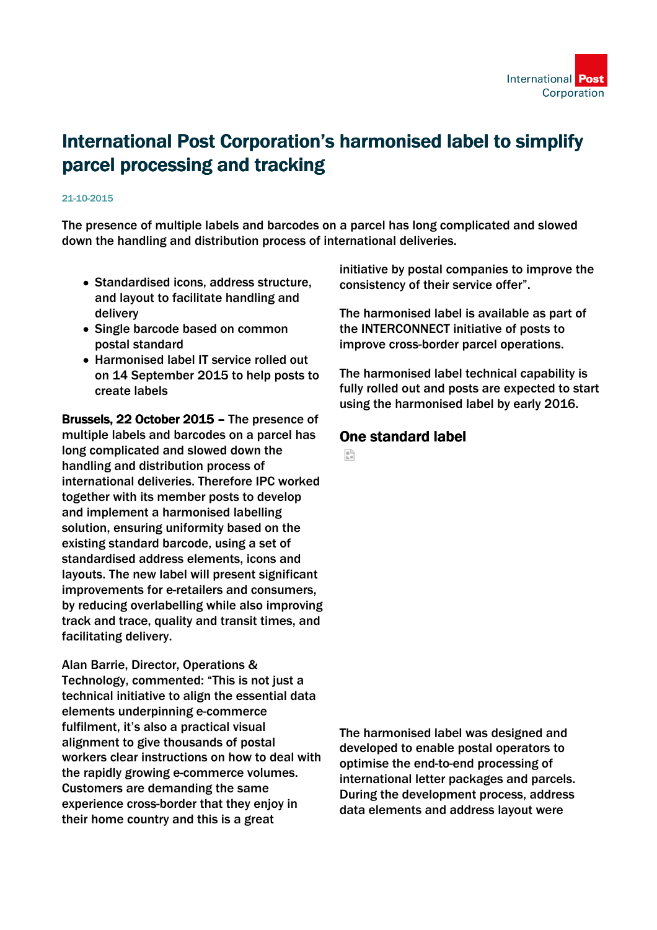

# International Post Corporation's harmonised label to simplify parcel processing and tracking

#### 21-10-2015

The presence of multiple labels and barcodes on a parcel has long complicated and slowed down the handling and distribution process of international deliveries.

- Standardised icons, address structure, and layout to facilitate handling and delivery
- Single barcode based on common postal standard
- Harmonised label IT service rolled out on 14 September 2015 to help posts to create labels

Brussels, 22 October 2015 – The presence of multiple labels and barcodes on a parcel has long complicated and slowed down the handling and distribution process of international deliveries. Therefore IPC worked together with its member posts to develop and implement a harmonised labelling solution, ensuring uniformity based on the existing standard barcode, using a set of standardised address elements, icons and layouts. The new label will present significant improvements for e-retailers and consumers, by reducing overlabelling while also improving track and trace, quality and transit times, and facilitating delivery.

Alan Barrie, Director, Operations & Technology, commented: "This is not just a technical initiative to align the essential data elements underpinning e-commerce fulfilment, it's also a practical visual alignment to give thousands of postal workers clear instructions on how to deal with the rapidly growing e-commerce volumes. Customers are demanding the same experience cross-border that they enjoy in their home country and this is a great

initiative by postal companies to improve the consistency of their service offer".

The harmonised label is available as part of the INTERCONNECT initiative of posts to improve cross-border parcel operations.

The harmonised label technical capability is fully rolled out and posts are expected to start using the harmonised label by early 2016.

## One standard label

을

The harmonised label was designed and developed to enable postal operators to optimise the end-to-end processing of international letter packages and parcels. During the development process, address data elements and address layout were